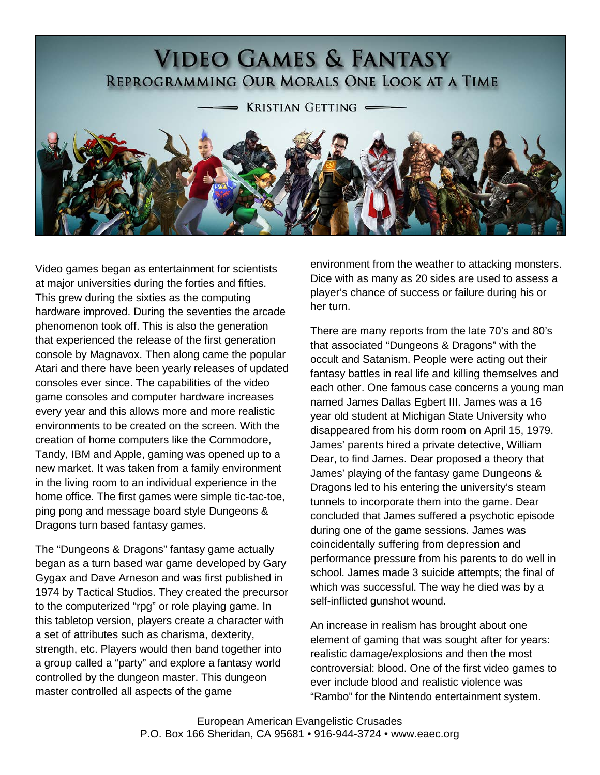# **VIDEO GAMES & FANTASY** REPROGRAMMING OUR MORALS ONE LOOK AT A TIME

**KRISTIAN GETTING** 



Video games began as entertainment for scientists at major universities during the forties and fifties. This grew during the sixties as the computing hardware improved. During the seventies the arcade phenomenon took off. This is also the generation that experienced the release of the first generation console by Magnavox. Then along came the popular Atari and there have been yearly releases of updated consoles ever since. The capabilities of the video game consoles and computer hardware increases every year and this allows more and more realistic environments to be created on the screen. With the creation of home computers like the Commodore, Tandy, IBM and Apple, gaming was opened up to a new market. It was taken from a family environment in the living room to an individual experience in the home office. The first games were simple tic-tac-toe, ping pong and message board style Dungeons & Dragons turn based fantasy games.

<span id="page-0-0"></span>The "Dungeons & Dragons" fantasy game actually began as a turn based war game developed by Gary Gygax and Dave Arneson and was first published in 1974 by Tactical Studios. They created the precursor to the computerized "rpg" or role playing game. In this tabletop version, players create a character with a set of attributes such as charisma, dexterity, strength, etc. Players would then band together into a group called a "party" and explore a fantasy world controlled by the dungeon master. This dungeon master controlled all aspects of the game

environment from the weather to attacking monsters. Dice with as many as 20 sides are used to assess a player's chance of success or failure during his or her turn.

There are many reports from the late 70's and 80's that associated "Dungeons & Dragons" with the occult and Satanism. People were acting out their fantasy battles in real life and killing themselves and each other. One famous case concerns a young man named James Dallas Egbert III. James was a 16 year old student at Michigan State University who disappeared from his dorm room on April 15, 1979. James' parents hired a private detective, William Dear, to find James. Dear proposed a theory that James' playing of the fantasy game Dungeons & Dragons led to his entering the university's steam tunnels to incorporate them into the game. Dear concluded that James suffered a psychotic episode during one of the game sessions. James was coincidentally suffering from depression and performance pressure from his parents to do well in school. James made 3 suicide attempts; the final of which was successful. The way he died was by a self-inflicted gunshot wound.

An increase in realism has brought about one element of gaming that was sought after for years: realistic damage/explosions and then the most controversial: blood. One of the first video games to ever include blood and realistic violence was "Rambo" for the Nintendo entertainment system.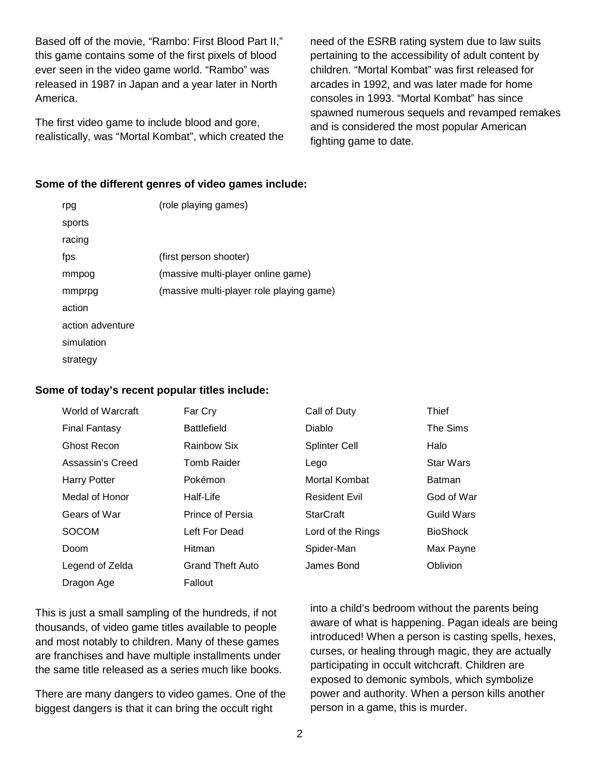Based off of the movie, "Rambo: First Blood Part II," this game contains some of the first pixels of blood ever seen in the video game world. "Rambo" was released in 1987 in Japan and a year later in North America.

The first video game to include blood and gore, realistically, was "Mortal Kombat", which created the need of the ESRB rating system due to law suits pertaining to the accessibility of adult content by children. "Mortal Kombat" was first released for arcades in 1992, and was later made for home consoles in 1993. "Mortal Kombat" has since spawned numerous sequels and revamped remakes and is considered the most popular American fighting game to date.

#### **Some of the different genres of video games include:**

| rpg              | (role playing games)                     |
|------------------|------------------------------------------|
| sports           |                                          |
| racing           |                                          |
| fps              | (first person shooter)                   |
| mmpog            | (massive multi-player online game)       |
| mmprpg           | (massive multi-player role playing game) |
| action           |                                          |
| action adventure |                                          |
| simulation       |                                          |
| strategy         |                                          |
|                  |                                          |

#### **Some of today's recent popular titles include:**

| World of Warcraft    | Far Cry                 | Call of Duty         | <b>Thief</b>     |
|----------------------|-------------------------|----------------------|------------------|
| <b>Final Fantasy</b> | <b>Battlefield</b>      | Diablo               | The Sims         |
| <b>Ghost Recon</b>   | Rainbow Six             | <b>Splinter Cell</b> | Halo             |
| Assassin's Creed     | <b>Tomb Raider</b>      | Lego                 | <b>Star Wars</b> |
| <b>Harry Potter</b>  | Pokémon                 | Mortal Kombat        | <b>Batman</b>    |
| Medal of Honor       | Half-Life               | <b>Resident Evil</b> | God of War       |
| Gears of War         | Prince of Persia        | <b>StarCraft</b>     | Guild Wars       |
| <b>SOCOM</b>         | Left For Dead           | Lord of the Rings    | <b>BioShock</b>  |
| Doom                 | Hitman                  | Spider-Man           | Max Payne        |
| Legend of Zelda      | <b>Grand Theft Auto</b> | James Bond           | <b>Oblivion</b>  |
| Dragon Age           | Fallout                 |                      |                  |
|                      |                         |                      |                  |

This is just a small sampling of the hundreds, if not thousands, of video game titles available to people and most notably to children. Many of these games are franchises and have multiple installments under the same title released as a series much like books.

There are many dangers to video games. One of the biggest dangers is that it can bring the occult right

into a child's bedroom without the parents being aware of what is happening. Pagan ideals are being introduced! When a person is casting spells, hexes, curses, or healing through magic, they are actually participating in occult witchcraft. Children are exposed to demonic symbols, which symbolize power and authority. When a person kills another person in a game, this is murder.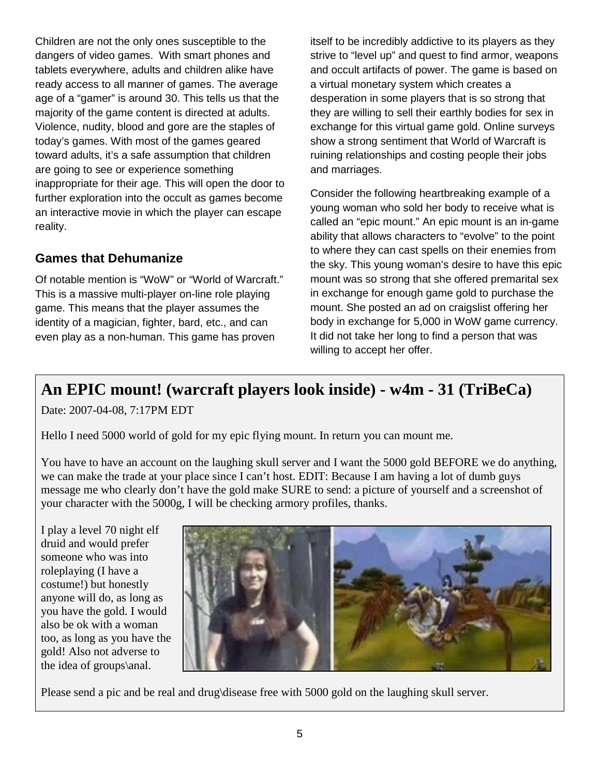Children are not the only ones susceptible to the dangers of video games. With smart phones and tablets everywhere, adults and children alike have ready access to all manner of games. The average age of a "gamer" is around 30. This tells us that the majority of the game content is directed at adults. Violence, nudity, blood and gore are the staples of today's games. With most of the games geared toward adults, it's a safe assumption that children are going to see or experience something inappropriate for their age. This will open the door to further exploration into the occult as games become an interactive movie in which the player can escape reality.

### **Games that Dehumanize**

Of notable mention is "WoW" or "World of Warcraft." This is a massive multi-player on-line role playing game. This means that the player assumes the identity of a magician, fighter, bard, etc., and can even play as a non-human. This game has proven

itself to be incredibly addictive to its players as they strive to "level up" and quest to find armor, weapons and occult artifacts of power. The game is based on a virtual monetary system which creates a desperation in some players that is so strong that they are willing to sell their earthly bodies for sex in exchange for this virtual game gold. Online surveys show a strong sentiment that World of Warcraft is ruining relationships and costing people their jobs and marriages.

Consider the following heartbreaking example of a young woman who sold her body to receive what is called an "epic mount." An epic mount is an in-game ability that allows characters to "evolve" to the point to where they can cast spells on their enemies from the sky. This young woman's desire to have this epic mount was so strong that she offered premarital sex in exchange for enough game gold to purchase the mount. She posted an ad on craigslist offering her body in exchange for 5,000 in WoW game currency. It did not take her long to find a person that was willing to accept her offer.

## **An EPIC mount! (warcraft players look inside) - w4m - 31 (TriBeCa)**

Date: 2007-04-08, 7:17PM EDT

Hello I need 5000 world of gold for my epic flying mount. In return you can mount me.

You have to have an account on the laughing skull server and I want the 5000 gold BEFORE we do anything, we can make the trade at your place since I can't host. EDIT: Because I am having a lot of dumb guys message me who clearly don't have the gold make SURE to send: a picture of yourself and a screenshot of your character with the 5000g, I will be checking armory profiles, thanks.

I play a level 70 night elf druid and would prefer someone who was into roleplaying (I have a costume!) but honestly anyone will do, as long as you have the gold. I would also be ok with a woman too, as long as you have the gold! Also not adverse to the idea of groups\anal.



Please send a pic and be real and drug\disease free with 5000 gold on the laughing skull server.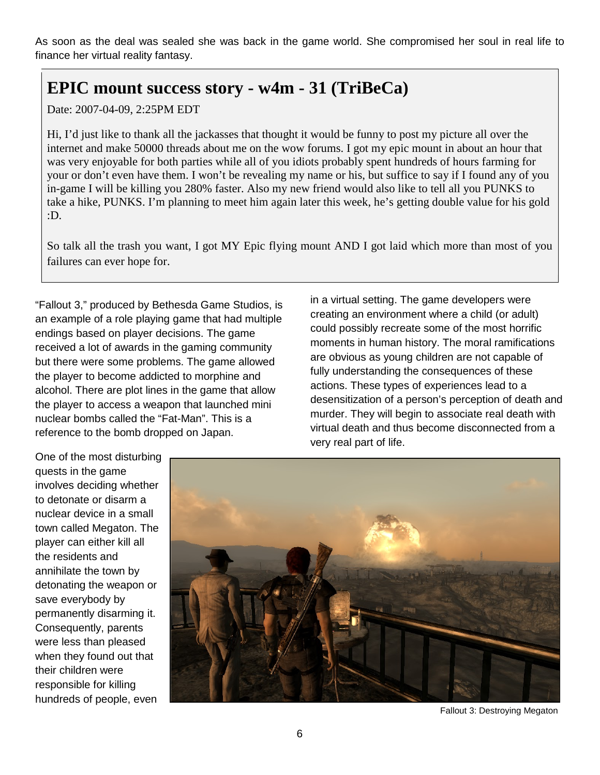As soon as the deal was sealed she was back in the game world. She compromised her soul in real life to finance her virtual reality fantasy.

## **EPIC mount success story - w4m - 31 (TriBeCa)**

Date: 2007-04-09, 2:25PM EDT

Hi, I'd just like to thank all the jackasses that thought it would be funny to post my picture all over the internet and make 50000 threads about me on the wow forums. I got my epic mount in about an hour that was very enjoyable for both parties while all of you idiots probably spent hundreds of hours farming for your or don't even have them. I won't be revealing my name or his, but suffice to say if I found any of you in-game I will be killing you 280% faster. Also my new friend would also like to tell all you PUNKS to take a hike, PUNKS. I'm planning to meet him again later this week, he's getting double value for his gold :D.

So talk all the trash you want, I got MY Epic flying mount AND I got laid which more than most of you failures can ever hope for.

"Fallout 3," produced by Bethesda Game Studios, is an example of a role playing game that had multiple endings based on player decisions. The game received a lot of awards in the gaming community but there were some problems. The game allowed the player to become addicted to morphine and alcohol. There are plot lines in the game that allow the player to access a weapon that launched mini nuclear bombs called the "Fat-Man". This is a reference to the bomb dropped on Japan.

in a virtual setting. The game developers were creating an environment where a child (or adult) could possibly recreate some of the most horrific moments in human history. The moral ramifications are obvious as young children are not capable of fully understanding the consequences of these actions. These types of experiences lead to a desensitization of a person's perception of death and murder. They will begin to associate real death with virtual death and thus become disconnected from a very real part of life.

One of the most disturbing quests in the game involves deciding whether to detonate or disarm a nuclear device in a small town called Megaton. The player can either kill all the residents and annihilate the town by detonating the weapon or save everybody by permanently disarming it. Consequently, parents were less than pleased when they found out that their children were responsible for killing hundreds of people, even



Fallout 3: Destroying Megaton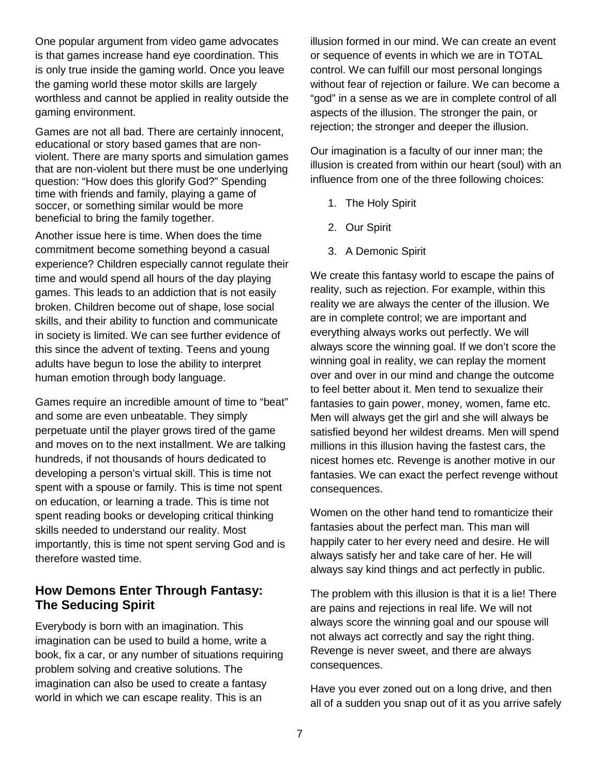One popular argument from video game advocates is that games increase hand eye coordination. This is only true inside the gaming world. Once you leave the gaming world these motor skills are largely worthless and cannot be applied in reality outside the gaming environment.

Games are not all bad. There are certainly innocent, educational or story based games that are nonviolent. There are many sports and simulation games that are non-violent but there must be one underlying question: "How does this glorify God?" Spending time with friends and family, playing a game of soccer, or something similar would be more beneficial to bring the family together.

Another issue here is time. When does the time commitment become something beyond a casual experience? Children especially cannot regulate their time and would spend all hours of the day playing games. This leads to an addiction that is not easily broken. Children become out of shape, lose social skills, and their ability to function and communicate in society is limited. We can see further evidence of this since the advent of texting. Teens and young adults have begun to lose the ability to interpret human emotion through body language.

Games require an incredible amount of time to "beat" and some are even unbeatable. They simply perpetuate until the player grows tired of the game and moves on to the next installment. We are talking hundreds, if not thousands of hours dedicated to developing a person's virtual skill. This is time not spent with a spouse or family. This is time not spent on education, or learning a trade. This is time not spent reading books or developing critical thinking skills needed to understand our reality. Most importantly, this is time not spent serving God and is therefore wasted time.

#### **How Demons Enter Through Fantasy: The Seducing Spirit**

Everybody is born with an imagination. This imagination can be used to build a home, write a book, fix a car, or any number of situations requiring problem solving and creative solutions. The imagination can also be used to create a fantasy world in which we can escape reality. This is an

illusion formed in our mind. We can create an event or sequence of events in which we are in TOTAL control. We can fulfill our most personal longings without fear of rejection or failure. We can become a "god" in a sense as we are in complete control of all aspects of the illusion. The stronger the pain, or rejection; the stronger and deeper the illusion.

Our imagination is a faculty of our inner man; the illusion is created from within our heart (soul) with an influence from one of the three following choices:

- 1. The Holy Spirit
- 2. Our Spirit
- 3. A Demonic Spirit

We create this fantasy world to escape the pains of reality, such as rejection. For example, within this reality we are always the center of the illusion. We are in complete control; we are important and everything always works out perfectly. We will always score the winning goal. If we don't score the winning goal in reality, we can replay the moment over and over in our mind and change the outcome to feel better about it. Men tend to sexualize their fantasies to gain power, money, women, fame etc. Men will always get the girl and she will always be satisfied beyond her wildest dreams. Men will spend millions in this illusion having the fastest cars, the nicest homes etc. Revenge is another motive in our fantasies. We can exact the perfect revenge without consequences.

Women on the other hand tend to romanticize their fantasies about the perfect man. This man will happily cater to her every need and desire. He will always satisfy her and take care of her. He will always say kind things and act perfectly in public.

The problem with this illusion is that it is a lie! There are pains and rejections in real life. We will not always score the winning goal and our spouse will not always act correctly and say the right thing. Revenge is never sweet, and there are always consequences.

Have you ever zoned out on a long drive, and then all of a sudden you snap out of it as you arrive safely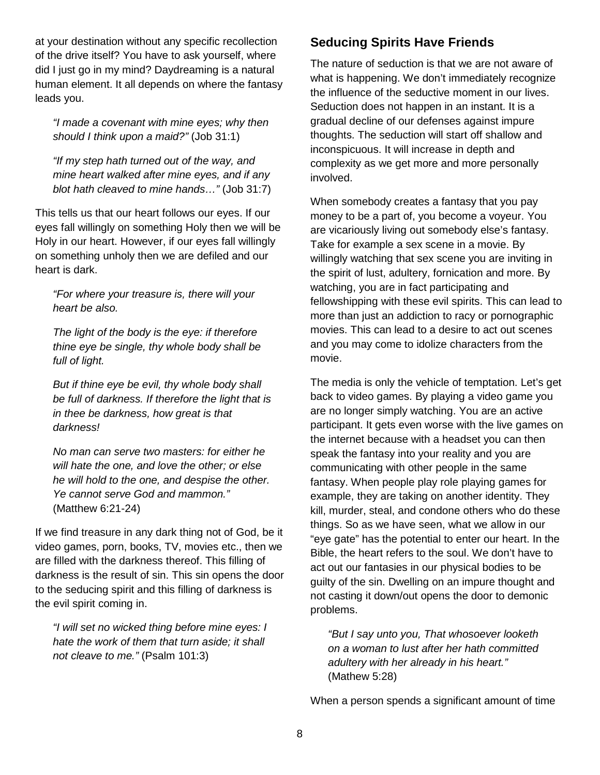at your destination without any specific recollection of the drive itself? You have to ask yourself, where did I just go in my mind? Daydreaming is a natural human element. It all depends on where the fantasy leads you.

*"I made a covenant with mine eyes; why then should I think upon a maid?"* (Job 31:1)

*"If my step hath turned out of the way, and mine heart walked after mine eyes, and if any blot hath cleaved to mine hands…"* (Job 31:7)

This tells us that our heart follows our eyes. If our eyes fall willingly on something Holy then we will be Holy in our heart. However, if our eyes fall willingly on something unholy then we are defiled and our heart is dark.

*"For where your treasure is, there will your heart be also.* 

*The light of the body is the eye: if therefore thine eye be single, thy whole body shall be full of light.*

*But if thine eye be evil, thy whole body shall be full of darkness. If therefore the light that is in thee be darkness, how great is that darkness!* 

*No man can serve two masters: for either he will hate the one, and love the other; or else he will hold to the one, and despise the other. Ye cannot serve God and mammon."* (Matthew 6:21-24)

If we find treasure in any dark thing not of God, be it video games, porn, books, TV, movies etc., then we are filled with the darkness thereof. This filling of darkness is the result of sin. This sin opens the door to the seducing spirit and this filling of darkness is the evil spirit coming in.

*"I will set no wicked thing before mine eyes: I hate the work of them that turn aside; it shall not cleave to me."* (Psalm 101:3)

#### **Seducing Spirits Have Friends**

The nature of seduction is that we are not aware of what is happening. We don't immediately recognize the influence of the seductive moment in our lives. Seduction does not happen in an instant. It is a gradual decline of our defenses against impure thoughts. The seduction will start off shallow and inconspicuous. It will increase in depth and complexity as we get more and more personally involved.

When somebody creates a fantasy that you pay money to be a part of, you become a voyeur. You are vicariously living out somebody else's fantasy. Take for example a sex scene in a movie. By willingly watching that sex scene you are inviting in the spirit of lust, adultery, fornication and more. By watching, you are in fact participating and fellowshipping with these evil spirits. This can lead to more than just an addiction to racy or pornographic movies. This can lead to a desire to act out scenes and you may come to idolize characters from the movie.

The media is only the vehicle of temptation. Let's get back to video games. By playing a video game you are no longer simply watching. You are an active participant. It gets even worse with the live games on the internet because with a headset you can then speak the fantasy into your reality and you are communicating with other people in the same fantasy. When people play role playing games for example, they are taking on another identity. They kill, murder, steal, and condone others who do these things. So as we have seen, what we allow in our "eye gate" has the potential to enter our heart. In the Bible, the heart refers to the soul. We don't have to act out our fantasies in our physical bodies to be guilty of the sin. Dwelling on an impure thought and not casting it down/out opens the door to demonic problems.

*"But I say unto you, That whosoever looketh on a woman to lust after her hath committed adultery with her already in his heart."* (Mathew 5:28)

When a person spends a significant amount of time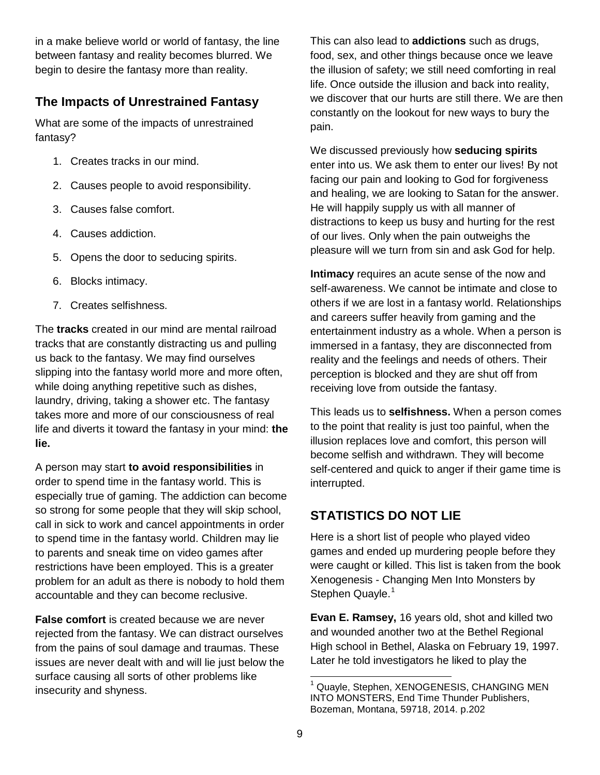in a make believe world or world of fantasy, the line between fantasy and reality becomes blurred. We begin to desire the fantasy more than reality.

### **The Impacts of Unrestrained Fantasy**

What are some of the impacts of unrestrained fantasy?

- 1. Creates tracks in our mind.
- 2. Causes people to avoid responsibility.
- 3. Causes false comfort.
- 4. Causes addiction.
- 5. Opens the door to seducing spirits.
- 6. Blocks intimacy.
- 7. Creates selfishness.

The **tracks** created in our mind are mental railroad tracks that are constantly distracting us and pulling us back to the fantasy. We may find ourselves slipping into the fantasy world more and more often, while doing anything repetitive such as dishes, laundry, driving, taking a shower etc. The fantasy takes more and more of our consciousness of real life and diverts it toward the fantasy in your mind: **the lie.**

A person may start **to avoid responsibilities** in order to spend time in the fantasy world. This is especially true of gaming. The addiction can become so strong for some people that they will skip school, call in sick to work and cancel appointments in order to spend time in the fantasy world. Children may lie to parents and sneak time on video games after restrictions have been employed. This is a greater problem for an adult as there is nobody to hold them accountable and they can become reclusive.

**False comfort** is created because we are never rejected from the fantasy. We can distract ourselves from the pains of soul damage and traumas. These issues are never dealt with and will lie just below the surface causing all sorts of other problems like insecurity and shyness.

This can also lead to **addictions** such as drugs, food, sex, and other things because once we leave the illusion of safety; we still need comforting in real life. Once outside the illusion and back into reality, we discover that our hurts are still there. We are then constantly on the lookout for new ways to bury the pain.

We discussed previously how **seducing spirits** enter into us. We ask them to enter our lives! By not facing our pain and looking to God for forgiveness and healing, we are looking to Satan for the answer. He will happily supply us with all manner of distractions to keep us busy and hurting for the rest of our lives. Only when the pain outweighs the pleasure will we turn from sin and ask God for help.

**Intimacy** requires an acute sense of the now and self-awareness. We cannot be intimate and close to others if we are lost in a fantasy world. Relationships and careers suffer heavily from gaming and the entertainment industry as a whole. When a person is immersed in a fantasy, they are disconnected from reality and the feelings and needs of others. Their perception is blocked and they are shut off from receiving love from outside the fantasy.

This leads us to **selfishness.** When a person comes to the point that reality is just too painful, when the illusion replaces love and comfort, this person will become selfish and withdrawn. They will become self-centered and quick to anger if their game time is interrupted.

### **STATISTICS DO NOT LIE**

Here is a short list of people who played video games and ended up murdering people before they were caught or killed. This list is taken from the book Xenogenesis - Changing Men Into Monsters by Stephen Quayle.<sup>[1](#page-0-0)</sup>

**Evan E. Ramsey,** 16 years old, shot and killed two and wounded another two at the Bethel Regional High school in Bethel, Alaska on February 19, 1997. Later he told investigators he liked to play the

Quayle, Stephen, XENOGENESIS, CHANGING MEN INTO MONSTERS, End Time Thunder Publishers, Bozeman, Montana, 59718, 2014. p.202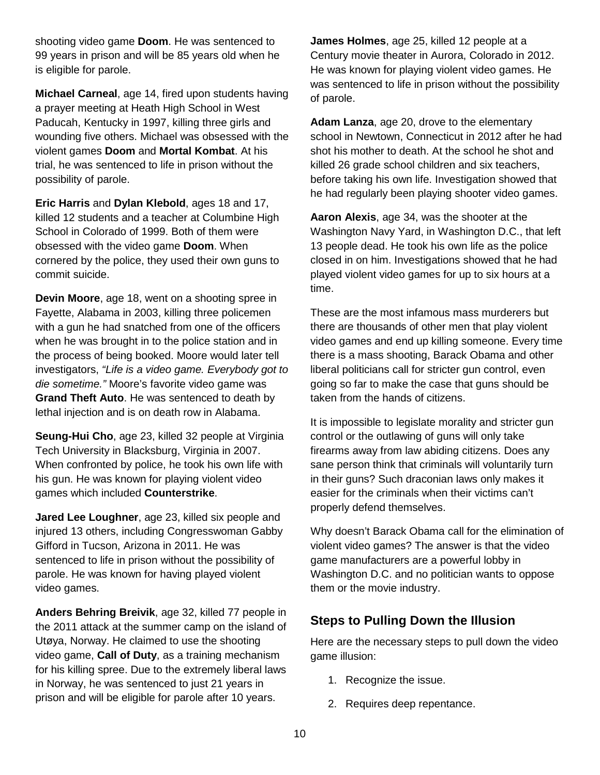shooting video game **Doom**. He was sentenced to 99 years in prison and will be 85 years old when he is eligible for parole.

**Michael Carneal**, age 14, fired upon students having a prayer meeting at Heath High School in West Paducah, Kentucky in 1997, killing three girls and wounding five others. Michael was obsessed with the violent games **Doom** and **Mortal Kombat**. At his trial, he was sentenced to life in prison without the possibility of parole.

**Eric Harris** and **Dylan Klebold**, ages 18 and 17, killed 12 students and a teacher at Columbine High School in Colorado of 1999. Both of them were obsessed with the video game **Doom**. When cornered by the police, they used their own guns to commit suicide.

**Devin Moore**, age 18, went on a shooting spree in Fayette, Alabama in 2003, killing three policemen with a gun he had snatched from one of the officers when he was brought in to the police station and in the process of being booked. Moore would later tell investigators, *"Life is a video game. Everybody got to die sometime."* Moore's favorite video game was **Grand Theft Auto**. He was sentenced to death by lethal injection and is on death row in Alabama.

**Seung-Hui Cho**, age 23, killed 32 people at Virginia Tech University in Blacksburg, Virginia in 2007. When confronted by police, he took his own life with his gun. He was known for playing violent video games which included **Counterstrike**.

**Jared Lee Loughner**, age 23, killed six people and injured 13 others, including Congresswoman Gabby Gifford in Tucson, Arizona in 2011. He was sentenced to life in prison without the possibility of parole. He was known for having played violent video games.

**Anders Behring Breivik**, age 32, killed 77 people in the 2011 attack at the summer camp on the island of Utøya, Norway. He claimed to use the shooting video game, **Call of Duty**, as a training mechanism for his killing spree. Due to the extremely liberal laws in Norway, he was sentenced to just 21 years in prison and will be eligible for parole after 10 years.

**James Holmes**, age 25, killed 12 people at a Century movie theater in Aurora, Colorado in 2012. He was known for playing violent video games. He was sentenced to life in prison without the possibility of parole.

**Adam Lanza**, age 20, drove to the elementary school in Newtown, Connecticut in 2012 after he had shot his mother to death. At the school he shot and killed 26 grade school children and six teachers, before taking his own life. Investigation showed that he had regularly been playing shooter video games.

**Aaron Alexis**, age 34, was the shooter at the Washington Navy Yard, in Washington D.C., that left 13 people dead. He took his own life as the police closed in on him. Investigations showed that he had played violent video games for up to six hours at a time.

These are the most infamous mass murderers but there are thousands of other men that play violent video games and end up killing someone. Every time there is a mass shooting, Barack Obama and other liberal politicians call for stricter gun control, even going so far to make the case that guns should be taken from the hands of citizens.

It is impossible to legislate morality and stricter gun control or the outlawing of guns will only take firearms away from law abiding citizens. Does any sane person think that criminals will voluntarily turn in their guns? Such draconian laws only makes it easier for the criminals when their victims can't properly defend themselves.

Why doesn't Barack Obama call for the elimination of violent video games? The answer is that the video game manufacturers are a powerful lobby in Washington D.C. and no politician wants to oppose them or the movie industry.

#### **Steps to Pulling Down the Illusion**

Here are the necessary steps to pull down the video game illusion:

- 1. Recognize the issue.
- 2. Requires deep repentance.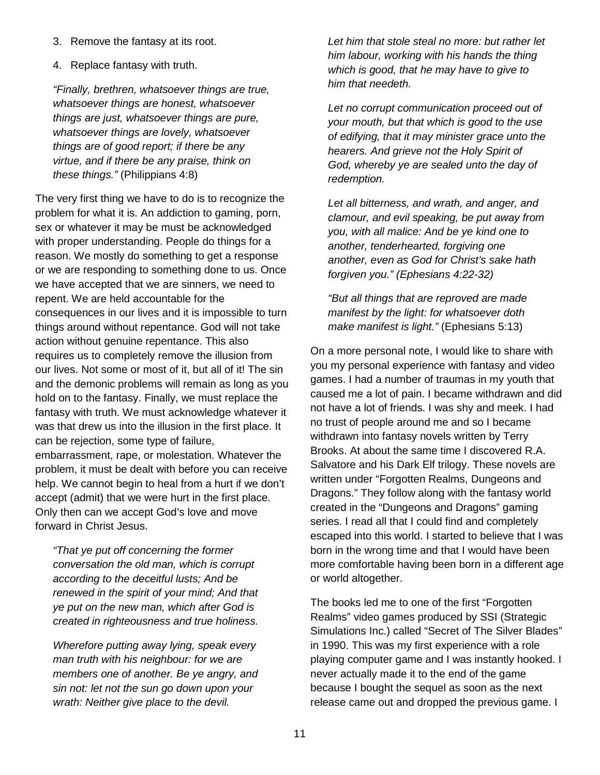- 3. Remove the fantasy at its root.
- 4. Replace fantasy with truth.

*"Finally, brethren, whatsoever things are true, whatsoever things are honest, whatsoever things are just, whatsoever things are pure, whatsoever things are lovely, whatsoever things are of good report; if there be any virtue, and if there be any praise, think on these things."* (Philippians 4:8)

The very first thing we have to do is to recognize the problem for what it is. An addiction to gaming, porn, sex or whatever it may be must be acknowledged with proper understanding. People do things for a reason. We mostly do something to get a response or we are responding to something done to us. Once we have accepted that we are sinners, we need to repent. We are held accountable for the consequences in our lives and it is impossible to turn things around without repentance. God will not take action without genuine repentance. This also requires us to completely remove the illusion from our lives. Not some or most of it, but all of it! The sin and the demonic problems will remain as long as you hold on to the fantasy. Finally, we must replace the fantasy with truth. We must acknowledge whatever it was that drew us into the illusion in the first place. It can be rejection, some type of failure, embarrassment, rape, or molestation. Whatever the problem, it must be dealt with before you can receive help. We cannot begin to heal from a hurt if we don't accept (admit) that we were hurt in the first place. Only then can we accept God's love and move forward in Christ Jesus.

*"That ye put off concerning the former conversation the old man, which is corrupt according to the deceitful lusts; And be renewed in the spirit of your mind; And that ye put on the new man, which after God is created in righteousness and true holiness.*

*Wherefore putting away lying, speak every man truth with his neighbour: for we are members one of another. Be ye angry, and sin not: let not the sun go down upon your wrath: Neither give place to the devil.*

*Let him that stole steal no more: but rather let him labour, working with his hands the thing which is good, that he may have to give to him that needeth.*

*Let no corrupt communication proceed out of your mouth, but that which is good to the use of edifying, that it may minister grace unto the hearers. And grieve not the Holy Spirit of God, whereby ye are sealed unto the day of redemption.*

*Let all bitterness, and wrath, and anger, and clamour, and evil speaking, be put away from you, with all malice: And be ye kind one to another, tenderhearted, forgiving one another, even as God for Christ's sake hath forgiven you." (Ephesians 4:22-32)*

*"But all things that are reproved are made manifest by the light: for whatsoever doth make manifest is light."* (Ephesians 5:13)

On a more personal note, I would like to share with you my personal experience with fantasy and video games. I had a number of traumas in my youth that caused me a lot of pain. I became withdrawn and did not have a lot of friends. I was shy and meek. I had no trust of people around me and so I became withdrawn into fantasy novels written by Terry Brooks. At about the same time I discovered R.A. Salvatore and his Dark Elf trilogy. These novels are written under "Forgotten Realms, Dungeons and Dragons." They follow along with the fantasy world created in the "Dungeons and Dragons" gaming series. I read all that I could find and completely escaped into this world. I started to believe that I was born in the wrong time and that I would have been more comfortable having been born in a different age or world altogether.

The books led me to one of the first "Forgotten Realms" video games produced by SSI (Strategic Simulations Inc.) called "Secret of The Silver Blades" in 1990. This was my first experience with a role playing computer game and I was instantly hooked. I never actually made it to the end of the game because I bought the sequel as soon as the next release came out and dropped the previous game. I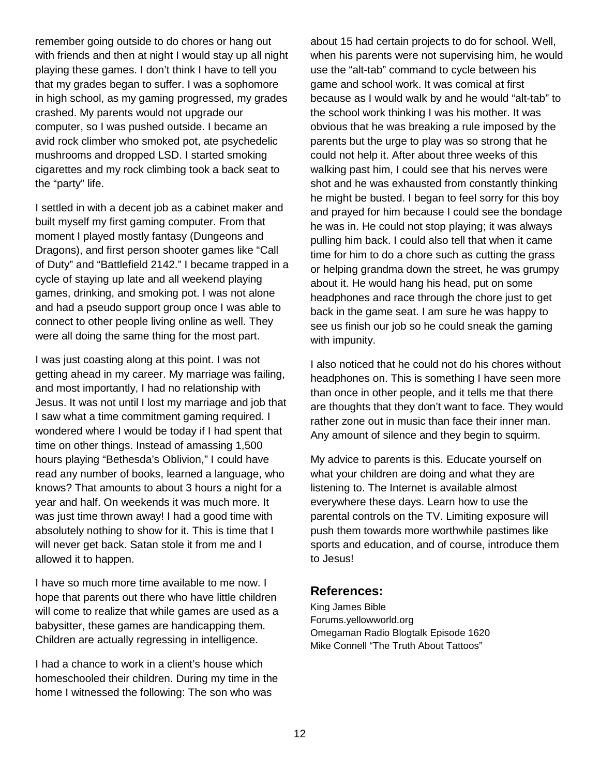remember going outside to do chores or hang out with friends and then at night I would stay up all night playing these games. I don't think I have to tell you that my grades began to suffer. I was a sophomore in high school, as my gaming progressed, my grades crashed. My parents would not upgrade our computer, so I was pushed outside. I became an avid rock climber who smoked pot, ate psychedelic mushrooms and dropped LSD. I started smoking cigarettes and my rock climbing took a back seat to the "party" life.

I settled in with a decent job as a cabinet maker and built myself my first gaming computer. From that moment I played mostly fantasy (Dungeons and Dragons), and first person shooter games like "Call of Duty" and "Battlefield 2142." I became trapped in a cycle of staying up late and all weekend playing games, drinking, and smoking pot. I was not alone and had a pseudo support group once I was able to connect to other people living online as well. They were all doing the same thing for the most part.

I was just coasting along at this point. I was not getting ahead in my career. My marriage was failing, and most importantly, I had no relationship with Jesus. It was not until I lost my marriage and job that I saw what a time commitment gaming required. I wondered where I would be today if I had spent that time on other things. Instead of amassing 1,500 hours playing "Bethesda's Oblivion," I could have read any number of books, learned a language, who knows? That amounts to about 3 hours a night for a year and half. On weekends it was much more. It was just time thrown away! I had a good time with absolutely nothing to show for it. This is time that I will never get back. Satan stole it from me and I allowed it to happen.

I have so much more time available to me now. I hope that parents out there who have little children will come to realize that while games are used as a babysitter, these games are handicapping them. Children are actually regressing in intelligence.

I had a chance to work in a client's house which homeschooled their children. During my time in the home I witnessed the following: The son who was

about 15 had certain projects to do for school. Well, when his parents were not supervising him, he would use the "alt-tab" command to cycle between his game and school work. It was comical at first because as I would walk by and he would "alt-tab" to the school work thinking I was his mother. It was obvious that he was breaking a rule imposed by the parents but the urge to play was so strong that he could not help it. After about three weeks of this walking past him, I could see that his nerves were shot and he was exhausted from constantly thinking he might be busted. I began to feel sorry for this boy and prayed for him because I could see the bondage he was in. He could not stop playing; it was always pulling him back. I could also tell that when it came time for him to do a chore such as cutting the grass or helping grandma down the street, he was grumpy about it. He would hang his head, put on some headphones and race through the chore just to get back in the game seat. I am sure he was happy to see us finish our job so he could sneak the gaming with impunity.

I also noticed that he could not do his chores without headphones on. This is something I have seen more than once in other people, and it tells me that there are thoughts that they don't want to face. They would rather zone out in music than face their inner man. Any amount of silence and they begin to squirm.

My advice to parents is this. Educate yourself on what your children are doing and what they are listening to. The Internet is available almost everywhere these days. Learn how to use the parental controls on the TV. Limiting exposure will push them towards more worthwhile pastimes like sports and education, and of course, introduce them to Jesus!

#### **References:**

King James Bible Forums.yellowworld.org Omegaman Radio Blogtalk Episode 1620 Mike Connell "The Truth About Tattoos"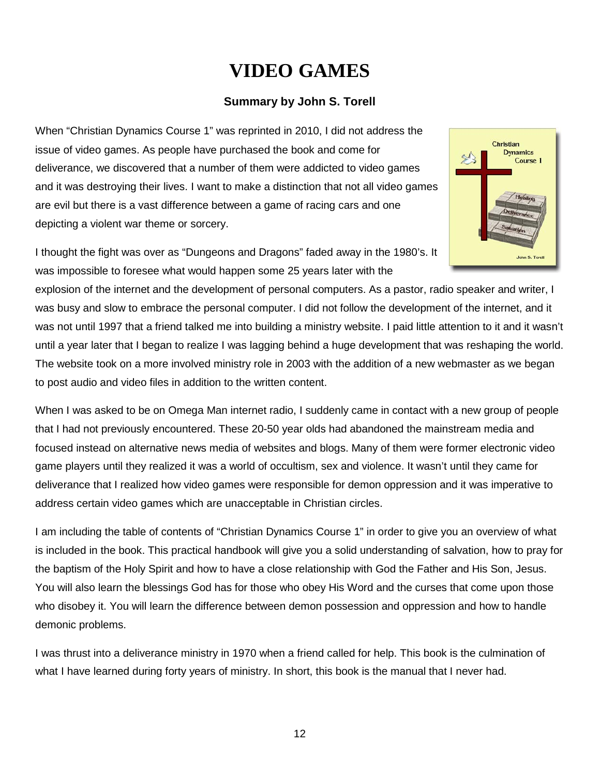# **VIDEO GAMES**

#### **Summary by John S. Torell**

When "Christian Dynamics Course 1" was reprinted in 2010, I did not address the issue of video games. As people have purchased the book and come for deliverance, we discovered that a number of them were addicted to video games and it was destroying their lives. I want to make a distinction that not all video games are evil but there is a vast difference between a game of racing cars and one depicting a violent war theme or sorcery.



I thought the fight was over as "Dungeons and Dragons" faded away in the 1980's. It was impossible to foresee what would happen some 25 years later with the

explosion of the internet and the development of personal computers. As a pastor, radio speaker and writer, I was busy and slow to embrace the personal computer. I did not follow the development of the internet, and it was not until 1997 that a friend talked me into building a ministry website. I paid little attention to it and it wasn't until a year later that I began to realize I was lagging behind a huge development that was reshaping the world. The website took on a more involved ministry role in 2003 with the addition of a new webmaster as we began to post audio and video files in addition to the written content.

When I was asked to be on Omega Man internet radio, I suddenly came in contact with a new group of people that I had not previously encountered. These 20-50 year olds had abandoned the mainstream media and focused instead on alternative news media of websites and blogs. Many of them were former electronic video game players until they realized it was a world of occultism, sex and violence. It wasn't until they came for deliverance that I realized how video games were responsible for demon oppression and it was imperative to address certain video games which are unacceptable in Christian circles.

I am including the table of contents of "Christian Dynamics Course 1" in order to give you an overview of what is included in the book. This practical handbook will give you a solid understanding of salvation, how to pray for the baptism of the Holy Spirit and how to have a close relationship with God the Father and His Son, Jesus. You will also learn the blessings God has for those who obey His Word and the curses that come upon those who disobey it. You will learn the difference between demon possession and oppression and how to handle demonic problems.

I was thrust into a deliverance ministry in 1970 when a friend called for help. This book is the culmination of what I have learned during forty years of ministry. In short, this book is the manual that I never had.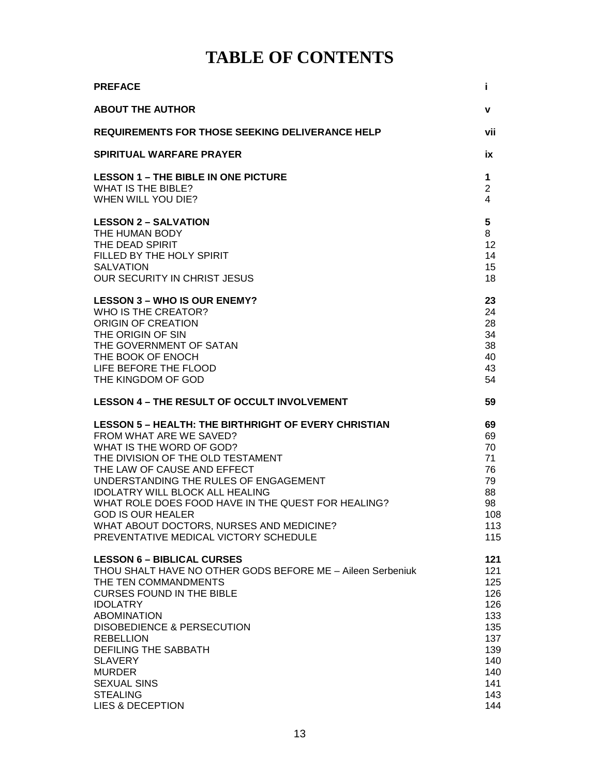## **TABLE OF CONTENTS**

| <b>PREFACE</b>                                              | Î.             |
|-------------------------------------------------------------|----------------|
| <b>ABOUT THE AUTHOR</b>                                     | v              |
| <b>REQUIREMENTS FOR THOSE SEEKING DELIVERANCE HELP</b>      | vii            |
| <b>SPIRITUAL WARFARE PRAYER</b>                             | ix             |
| <b>LESSON 1 - THE BIBLE IN ONE PICTURE</b>                  | 1              |
| <b>WHAT IS THE BIBLE?</b>                                   | $\overline{2}$ |
| WHEN WILL YOU DIE?                                          | 4              |
| <b>LESSON 2 - SALVATION</b>                                 | 5              |
| THE HUMAN BODY                                              | 8              |
| THE DEAD SPIRIT                                             | 12             |
| FILLED BY THE HOLY SPIRIT                                   | 14             |
| <b>SALVATION</b>                                            | 15             |
| OUR SECURITY IN CHRIST JESUS                                | 18             |
| <b>LESSON 3 - WHO IS OUR ENEMY?</b>                         | 23             |
| WHO IS THE CREATOR?                                         | 24             |
| ORIGIN OF CREATION                                          | 28             |
| THE ORIGIN OF SIN                                           | 34             |
| THE GOVERNMENT OF SATAN                                     | 38             |
| THE BOOK OF ENOCH                                           | 40             |
| LIFE BEFORE THE FLOOD                                       | 43             |
| THE KINGDOM OF GOD                                          | 54             |
| <b>LESSON 4 - THE RESULT OF OCCULT INVOLVEMENT</b>          | 59             |
| <b>LESSON 5 - HEALTH: THE BIRTHRIGHT OF EVERY CHRISTIAN</b> | 69             |
| FROM WHAT ARE WE SAVED?                                     | 69             |
| WHAT IS THE WORD OF GOD?                                    | 70             |
| THE DIVISION OF THE OLD TESTAMENT                           | 71             |
| THE LAW OF CAUSE AND EFFECT                                 | 76             |
| UNDERSTANDING THE RULES OF ENGAGEMENT                       | 79             |
| <b>IDOLATRY WILL BLOCK ALL HEALING</b>                      | 88             |
| WHAT ROLE DOES FOOD HAVE IN THE QUEST FOR HEALING?          | 98             |
| <b>GOD IS OUR HEALER</b>                                    | 108            |
| WHAT ABOUT DOCTORS, NURSES AND MEDICINE?                    | 113            |
| PREVENTATIVE MEDICAL VICTORY SCHEDULE                       | 115            |
| <b>LESSON 6 - BIBLICAL CURSES</b>                           | 121            |
| THOU SHALT HAVE NO OTHER GODS BEFORE ME - Aileen Serbeniuk  | 121            |
| THE TEN COMMANDMENTS                                        | 125            |
| <b>CURSES FOUND IN THE BIBLE</b>                            | 126            |
| <b>IDOLATRY</b>                                             | 126            |
| <b>ABOMINATION</b>                                          | 133            |
| <b>DISOBEDIENCE &amp; PERSECUTION</b>                       | 135            |
| <b>REBELLION</b>                                            | 137            |
| DEFILING THE SABBATH                                        | 139            |
| <b>SLAVERY</b>                                              | 140            |
| <b>MURDER</b>                                               | 140            |
| <b>SEXUAL SINS</b>                                          | 141            |
| <b>STEALING</b>                                             | 143            |
| LIES & DECEPTION                                            | 144            |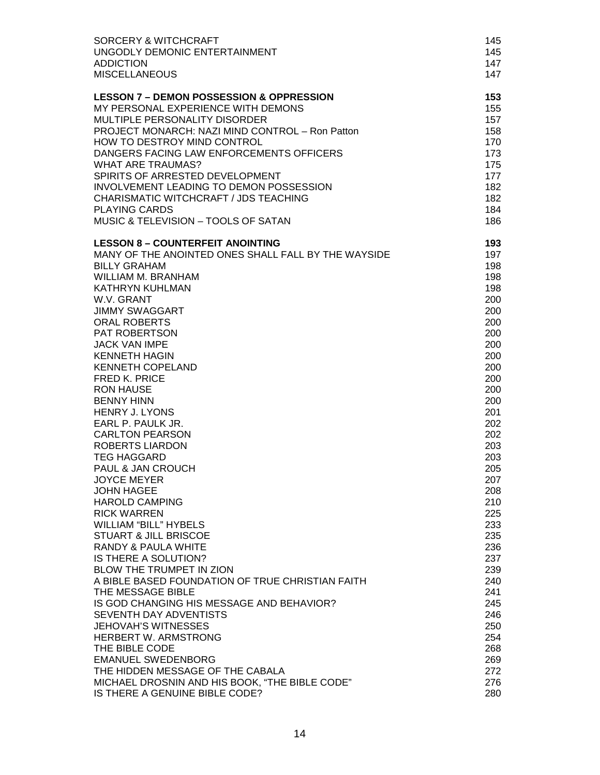| SORCERY & WITCHCRAFT                                | 145 |
|-----------------------------------------------------|-----|
| UNGODLY DEMONIC ENTERTAINMENT                       | 145 |
| <b>ADDICTION</b>                                    | 147 |
| <b>MISCELLANEOUS</b>                                | 147 |
| <b>LESSON 7 - DEMON POSSESSION &amp; OPPRESSION</b> | 153 |
| MY PERSONAL EXPERIENCE WITH DEMONS                  | 155 |
| MULTIPLE PERSONALITY DISORDER                       | 157 |
| PROJECT MONARCH: NAZI MIND CONTROL - Ron Patton     | 158 |
| HOW TO DESTROY MIND CONTROL                         | 170 |
| DANGERS FACING LAW ENFORCEMENTS OFFICERS            | 173 |
| <b>WHAT ARE TRAUMAS?</b>                            | 175 |
| SPIRITS OF ARRESTED DEVELOPMENT                     | 177 |
| INVOLVEMENT LEADING TO DEMON POSSESSION             | 182 |
| CHARISMATIC WITCHCRAFT / JDS TEACHING               | 182 |
| <b>PLAYING CARDS</b>                                | 184 |
| MUSIC & TELEVISION - TOOLS OF SATAN                 | 186 |
| <b>LESSON 8 - COUNTERFEIT ANOINTING</b>             | 193 |
| MANY OF THE ANOINTED ONES SHALL FALL BY THE WAYSIDE | 197 |
| <b>BILLY GRAHAM</b>                                 | 198 |
| WILLIAM M. BRANHAM                                  | 198 |
| <b>KATHRYN KUHLMAN</b>                              | 198 |
| W.V. GRANT                                          | 200 |
| <b>JIMMY SWAGGART</b>                               | 200 |
| <b>ORAL ROBERTS</b>                                 | 200 |
| PAT ROBERTSON                                       | 200 |
| <b>JACK VAN IMPE</b>                                | 200 |
| <b>KENNETH HAGIN</b>                                | 200 |
| <b>KENNETH COPELAND</b>                             | 200 |
| <b>FRED K. PRICE</b>                                | 200 |
| <b>RON HAUSE</b>                                    | 200 |
| <b>BENNY HINN</b>                                   | 200 |
| <b>HENRY J. LYONS</b>                               | 201 |
| EARL P. PAULK JR.                                   | 202 |
| <b>CARLTON PEARSON</b>                              | 202 |
| <b>ROBERTS LIARDON</b>                              | 203 |
| <b>TEG HAGGARD</b>                                  | 203 |
| PAUL & JAN CROUCH                                   | 205 |
| <b>JOYCE MEYER</b>                                  | 207 |
| <b>JOHN HAGEE</b>                                   | 208 |
| <b>HAROLD CAMPING</b>                               | 210 |
| <b>RICK WARREN</b>                                  | 225 |
| <b>WILLIAM "BILL" HYBELS</b>                        | 233 |
| <b>STUART &amp; JILL BRISCOE</b>                    | 235 |
| RANDY & PAULA WHITE                                 | 236 |
| IS THERE A SOLUTION?                                | 237 |
| <b>BLOW THE TRUMPET IN ZION</b>                     | 239 |
| A BIBLE BASED FOUNDATION OF TRUE CHRISTIAN FAITH    | 240 |
| THE MESSAGE BIBLE                                   | 241 |
| IS GOD CHANGING HIS MESSAGE AND BEHAVIOR?           | 245 |
| SEVENTH DAY ADVENTISTS                              | 246 |
| <b>JEHOVAH'S WITNESSES</b>                          | 250 |
| HERBERT W. ARMSTRONG                                | 254 |
| THE BIBLE CODE                                      | 268 |
| <b>EMANUEL SWEDENBORG</b>                           | 269 |
| THE HIDDEN MESSAGE OF THE CABALA                    | 272 |
| MICHAEL DROSNIN AND HIS BOOK, "THE BIBLE CODE"      | 276 |
| IS THERE A GENUINE BIBLE CODE?                      | 280 |